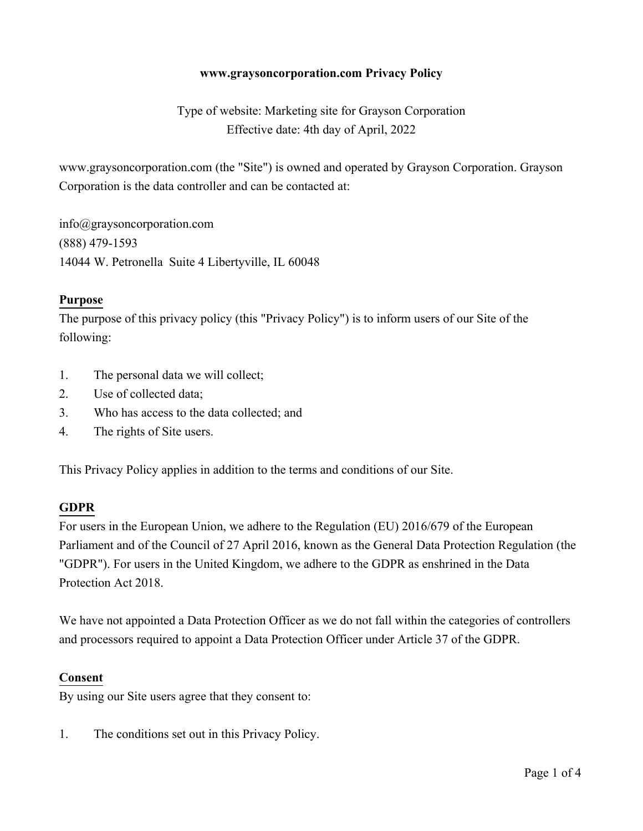### **www.graysoncorporation.com Privacy Policy**

Type of website: Marketing site for Grayson Corporation Effective date: 4th day of April, 2022

www.graysoncorporation.com (the "Site") is owned and operated by Grayson Corporation. Grayson Corporation is the data controller and can be contacted at:

info@graysoncorporation.com (888) 479-1593 14044 W. Petronella Suite 4 Libertyville, IL 60048

#### **Purpose**

The purpose of this privacy policy (this "Privacy Policy") is to inform users of our Site of the following:

- 1. The personal data we will collect;
- 2. Use of collected data;
- 3. Who has access to the data collected; and
- 4. The rights of Site users.

This Privacy Policy applies in addition to the terms and conditions of our Site.

# **GDPR**

For users in the European Union, we adhere to the Regulation (EU) 2016/679 of the European Parliament and of the Council of 27 April 2016, known as the General Data Protection Regulation (the "GDPR"). For users in the United Kingdom, we adhere to the GDPR as enshrined in the Data Protection Act 2018.

We have not appointed a Data Protection Officer as we do not fall within the categories of controllers and processors required to appoint a Data Protection Officer under Article 37 of the GDPR.

#### **Consent**

By using our Site users agree that they consent to:

1. The conditions set out in this Privacy Policy.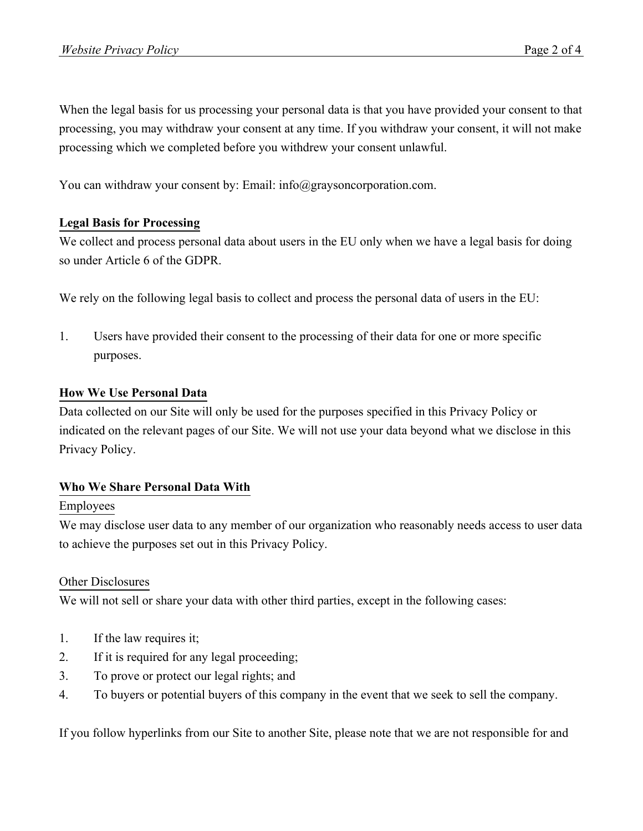When the legal basis for us processing your personal data is that you have provided your consent to that processing, you may withdraw your consent at any time. If you withdraw your consent, it will not make processing which we completed before you withdrew your consent unlawful.

You can withdraw your consent by: Email: info@graysoncorporation.com.

# **Legal Basis for Processing**

We collect and process personal data about users in the EU only when we have a legal basis for doing so under Article 6 of the GDPR.

We rely on the following legal basis to collect and process the personal data of users in the EU:

1. Users have provided their consent to the processing of their data for one or more specific purposes.

# **How We Use Personal Data**

Data collected on our Site will only be used for the purposes specified in this Privacy Policy or indicated on the relevant pages of our Site. We will not use your data beyond what we disclose in this Privacy Policy.

# **Who We Share Personal Data With**

# Employees

We may disclose user data to any member of our organization who reasonably needs access to user data to achieve the purposes set out in this Privacy Policy.

# Other Disclosures

We will not sell or share your data with other third parties, except in the following cases:

- 1. If the law requires it;
- 2. If it is required for any legal proceeding;
- 3. To prove or protect our legal rights; and
- 4. To buyers or potential buyers of this company in the event that we seek to sell the company.

If you follow hyperlinks from our Site to another Site, please note that we are not responsible for and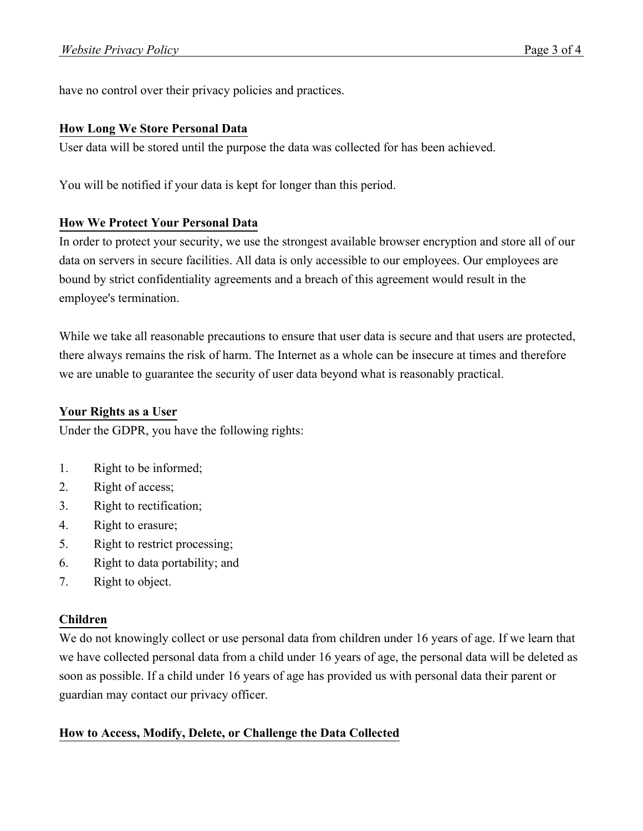have no control over their privacy policies and practices.

### **How Long We Store Personal Data**

User data will be stored until the purpose the data was collected for has been achieved.

You will be notified if your data is kept for longer than this period.

# **How We Protect Your Personal Data**

In order to protect your security, we use the strongest available browser encryption and store all of our data on servers in secure facilities. All data is only accessible to our employees. Our employees are bound by strict confidentiality agreements and a breach of this agreement would result in the employee's termination.

While we take all reasonable precautions to ensure that user data is secure and that users are protected, there always remains the risk of harm. The Internet as a whole can be insecure at times and therefore we are unable to guarantee the security of user data beyond what is reasonably practical.

# **Your Rights as a User**

Under the GDPR, you have the following rights:

- 1. Right to be informed;
- 2. Right of access;
- 3. Right to rectification;
- 4. Right to erasure;
- 5. Right to restrict processing;
- 6. Right to data portability; and
- 7. Right to object.

# **Children**

We do not knowingly collect or use personal data from children under 16 years of age. If we learn that we have collected personal data from a child under 16 years of age, the personal data will be deleted as soon as possible. If a child under 16 years of age has provided us with personal data their parent or guardian may contact our privacy officer.

# **How to Access, Modify, Delete, or Challenge the Data Collected**